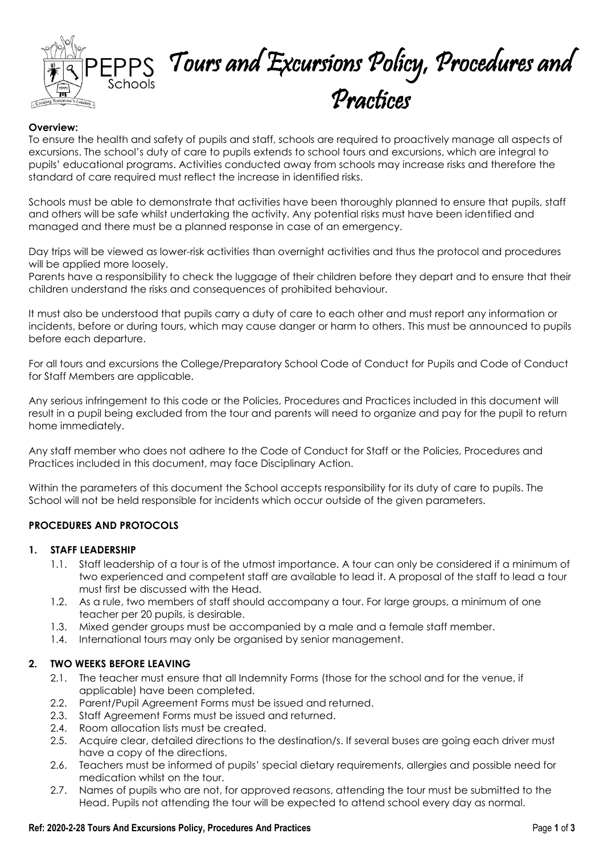

# EPPS Tours and Excursions Policy, Procedures and Practices

## **Overview:**

To ensure the health and safety of pupils and staff, schools are required to proactively manage all aspects of excursions. The school's duty of care to pupils extends to school tours and excursions, which are integral to pupils' educational programs. Activities conducted away from schools may increase risks and therefore the standard of care required must reflect the increase in identified risks.

Schools must be able to demonstrate that activities have been thoroughly planned to ensure that pupils, staff and others will be safe whilst undertaking the activity. Any potential risks must have been identified and managed and there must be a planned response in case of an emergency.

Day trips will be viewed as lower-risk activities than overnight activities and thus the protocol and procedures will be applied more loosely.

Parents have a responsibility to check the luggage of their children before they depart and to ensure that their children understand the risks and consequences of prohibited behaviour.

It must also be understood that pupils carry a duty of care to each other and must report any information or incidents, before or during tours, which may cause danger or harm to others. This must be announced to pupils before each departure.

For all tours and excursions the College/Preparatory School Code of Conduct for Pupils and Code of Conduct for Staff Members are applicable.

Any serious infringement to this code or the Policies, Procedures and Practices included in this document will result in a pupil being excluded from the tour and parents will need to organize and pay for the pupil to return home immediately.

Any staff member who does not adhere to the Code of Conduct for Staff or the Policies, Procedures and Practices included in this document, may face Disciplinary Action.

Within the parameters of this document the School accepts responsibility for its duty of care to pupils. The School will not be held responsible for incidents which occur outside of the given parameters.

## **PROCEDURES AND PROTOCOLS**

## **1. STAFF LEADERSHIP**

- 1.1. Staff leadership of a tour is of the utmost importance. A tour can only be considered if a minimum of two experienced and competent staff are available to lead it. A proposal of the staff to lead a tour must first be discussed with the Head.
- 1.2. As a rule, two members of staff should accompany a tour. For large groups, a minimum of one teacher per 20 pupils, is desirable.
- 1.3. Mixed gender groups must be accompanied by a male and a female staff member.
- 1.4. International tours may only be organised by senior management.

## **2. TWO WEEKS BEFORE LEAVING**

- 2.1. The teacher must ensure that all Indemnity Forms (those for the school and for the venue, if applicable) have been completed.
- 2.2. Parent/Pupil Agreement Forms must be issued and returned.
- 2.3. Staff Agreement Forms must be issued and returned.
- 2.4. Room allocation lists must be created.
- 2.5. Acquire clear, detailed directions to the destination/s. If several buses are going each driver must have a copy of the directions.
- 2.6. Teachers must be informed of pupils' special dietary requirements, allergies and possible need for medication whilst on the tour.
- 2.7. Names of pupils who are not, for approved reasons, attending the tour must be submitted to the Head. Pupils not attending the tour will be expected to attend school every day as normal.

#### **Ref: 2020-2-28 Tours And Excursions Policy, Procedures And Practices** Page **1** of **3**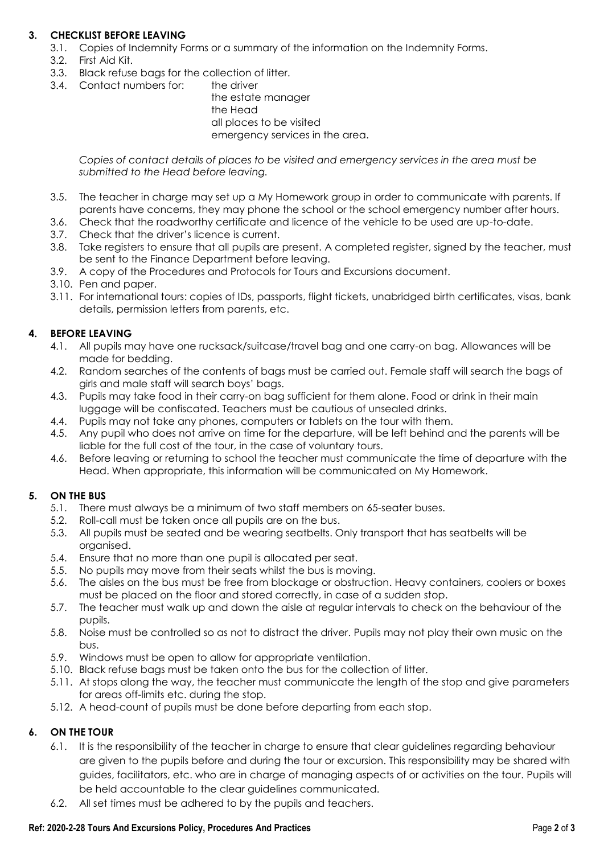## **3. CHECKLIST BEFORE LEAVING**

- 3.1. Copies of Indemnity Forms or a summary of the information on the Indemnity Forms.
- 3.2. First Aid Kit.
- 3.3. Black refuse bags for the collection of litter.
- 3.4. Contact numbers for: the driver

the estate manager the Head all places to be visited emergency services in the area.

*Copies of contact details of places to be visited and emergency services in the area must be submitted to the Head before leaving.*

- 3.5. The teacher in charge may set up a My Homework group in order to communicate with parents. If parents have concerns, they may phone the school or the school emergency number after hours.
- 3.6. Check that the roadworthy certificate and licence of the vehicle to be used are up-to-date.
- 3.7. Check that the driver's licence is current.
- 3.8. Take registers to ensure that all pupils are present. A completed register, signed by the teacher, must be sent to the Finance Department before leaving.
- 3.9. A copy of the Procedures and Protocols for Tours and Excursions document.
- 3.10. Pen and paper.
- 3.11. For international tours: copies of IDs, passports, flight tickets, unabridged birth certificates, visas, bank details, permission letters from parents, etc.

#### **4. BEFORE LEAVING**

- 4.1. All pupils may have one rucksack/suitcase/travel bag and one carry-on bag. Allowances will be made for bedding.
- 4.2. Random searches of the contents of bags must be carried out. Female staff will search the bags of girls and male staff will search boys' bags.
- 4.3. Pupils may take food in their carry-on bag sufficient for them alone. Food or drink in their main luggage will be confiscated. Teachers must be cautious of unsealed drinks.
- 4.4. Pupils may not take any phones, computers or tablets on the tour with them.
- 4.5. Any pupil who does not arrive on time for the departure, will be left behind and the parents will be liable for the full cost of the tour, in the case of voluntary tours.
- 4.6. Before leaving or returning to school the teacher must communicate the time of departure with the Head. When appropriate, this information will be communicated on My Homework.

## **5. ON THE BUS**

- 5.1. There must always be a minimum of two staff members on 65-seater buses.
- 5.2. Roll-call must be taken once all pupils are on the bus.
- 5.3. All pupils must be seated and be wearing seatbelts. Only transport that has seatbelts will be organised.
- 5.4. Ensure that no more than one pupil is allocated per seat.
- 5.5. No pupils may move from their seats whilst the bus is moving.
- 5.6. The aisles on the bus must be free from blockage or obstruction. Heavy containers, coolers or boxes must be placed on the floor and stored correctly, in case of a sudden stop.
- 5.7. The teacher must walk up and down the aisle at regular intervals to check on the behaviour of the pupils.
- 5.8. Noise must be controlled so as not to distract the driver. Pupils may not play their own music on the bus.
- 5.9. Windows must be open to allow for appropriate ventilation.
- 5.10. Black refuse bags must be taken onto the bus for the collection of litter.
- 5.11. At stops along the way, the teacher must communicate the length of the stop and give parameters for areas off-limits etc. during the stop.
- 5.12. A head-count of pupils must be done before departing from each stop.

## **6. ON THE TOUR**

- 6.1. It is the responsibility of the teacher in charge to ensure that clear guidelines regarding behaviour are given to the pupils before and during the tour or excursion. This responsibility may be shared with guides, facilitators, etc. who are in charge of managing aspects of or activities on the tour. Pupils will be held accountable to the clear guidelines communicated.
- 6.2. All set times must be adhered to by the pupils and teachers.

#### **Ref: 2020-2-28 Tours And Excursions Policy, Procedures And Practices Page 2 of 3 Page 2 of 3**